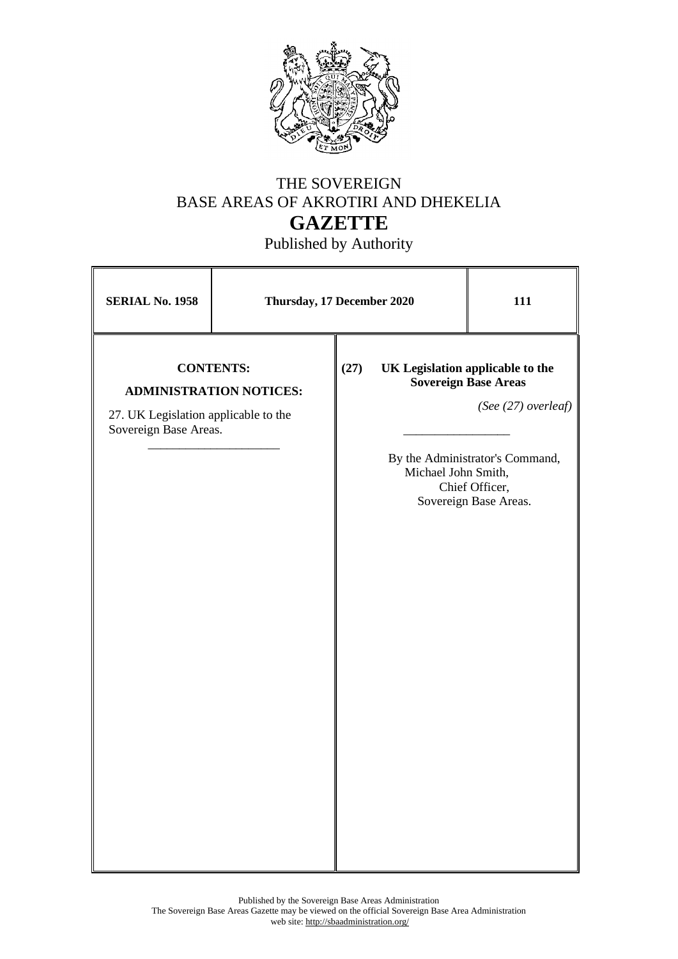

## THE SOVEREIGN BASE AREAS OF AKROTIRI AND DHEKELIA **GAZETTE**

Published by Authority

| <b>SERIAL No. 1958</b>                                                                                              | Thursday, 17 December 2020 |      |                     | 111                                                                                                                                                                  |
|---------------------------------------------------------------------------------------------------------------------|----------------------------|------|---------------------|----------------------------------------------------------------------------------------------------------------------------------------------------------------------|
| <b>CONTENTS:</b><br><b>ADMINISTRATION NOTICES:</b><br>27. UK Legislation applicable to the<br>Sovereign Base Areas. |                            | (27) | Michael John Smith, | UK Legislation applicable to the<br><b>Sovereign Base Areas</b><br>(See (27) overleaf)<br>By the Administrator's Command,<br>Chief Officer,<br>Sovereign Base Areas. |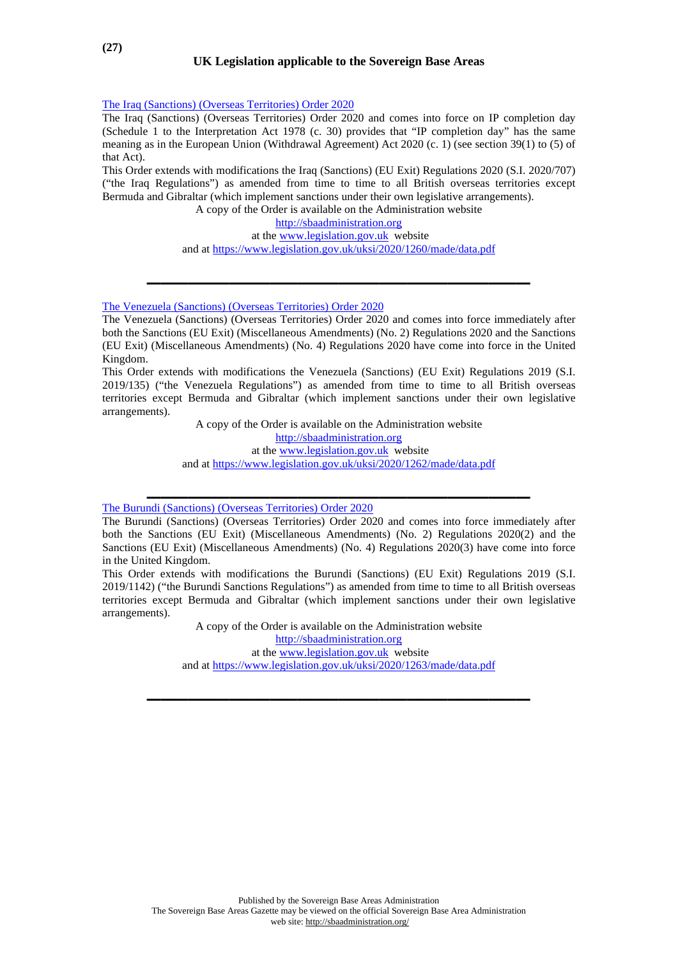[The Iraq \(Sanctions\) \(Overseas Territories\) Order 2020](https://www.legislation.gov.uk/uksi/2020/1260/made/data.pdf)

The Iraq (Sanctions) (Overseas Territories) Order 2020 and comes into force on IP completion day (Schedule 1 to the Interpretation Act 1978 (c. 30) provides that "IP completion day" has the same meaning as in the European Union (Withdrawal Agreement) Act 2020 (c. 1) (see section 39(1) to (5) of that Act).

This Order extends with modifications the Iraq (Sanctions) (EU Exit) Regulations 2020 (S.I. 2020/707) ("the Iraq Regulations") as amended from time to time to all British overseas territories except Bermuda and Gibraltar (which implement sanctions under their own legislative arrangements).

A copy of the Order is available on the Administration website

[http://sbaadministration.org](http://sbaadministration.org/)

at the [www.legislation.gov.uk](http://www.legislation.gov.uk/) website

and at<https://www.legislation.gov.uk/uksi/2020/1260/made/data.pdf>

**\_\_\_\_\_\_\_\_\_\_\_\_\_\_\_\_\_\_\_\_\_\_\_\_\_\_\_\_** 

[The Venezuela \(Sanctions\) \(Overseas Territories\) Order 2020](https://www.legislation.gov.uk/uksi/2020/1262/made/data.pdf)

The Venezuela (Sanctions) (Overseas Territories) Order 2020 and comes into force immediately after both the Sanctions (EU Exit) (Miscellaneous Amendments) (No. 2) Regulations 2020 and the Sanctions (EU Exit) (Miscellaneous Amendments) (No. 4) Regulations 2020 have come into force in the United Kingdom.

This Order extends with modifications the Venezuela (Sanctions) (EU Exit) Regulations 2019 (S.I. 2019/135) ("the Venezuela Regulations") as amended from time to time to all British overseas territories except Bermuda and Gibraltar (which implement sanctions under their own legislative arrangements).

> A copy of the Order is available on the Administration website [http://sbaadministration.org](http://sbaadministration.org/) at the [www.legislation.gov.uk](http://www.legislation.gov.uk/) website and at<https://www.legislation.gov.uk/uksi/2020/1262/made/data.pdf>

**\_\_\_\_\_\_\_\_\_\_\_\_\_\_\_\_\_\_\_\_\_\_\_\_\_\_\_\_** 

[The Burundi \(Sanctions\) \(Overseas Territories\) Order 2020](https://www.legislation.gov.uk/uksi/2020/1263/made/data.pdf)

This Order extends with modifications the Burundi (Sanctions) (EU Exit) Regulations 2019 (S.I. 2019/1142) ("the Burundi Sanctions Regulations") as amended from time to time to all British overseas territories except Bermuda and Gibraltar (which implement sanctions under their own legislative arrangements).

> A copy of the Order is available on the Administration website [http://sbaadministration.org](http://sbaadministration.org/)

at the [www.legislation.gov.uk](http://www.legislation.gov.uk/) website

and at<https://www.legislation.gov.uk/uksi/2020/1263/made/data.pdf>

**\_\_\_\_\_\_\_\_\_\_\_\_\_\_\_\_\_\_\_\_\_\_\_\_\_\_\_\_** 

The Burundi (Sanctions) (Overseas Territories) Order 2020 and comes into force immediately after both the Sanctions (EU Exit) (Miscellaneous Amendments) (No. 2) Regulations 2020(2) and the Sanctions (EU Exit) (Miscellaneous Amendments) (No. 4) Regulations 2020(3) have come into force in the United Kingdom.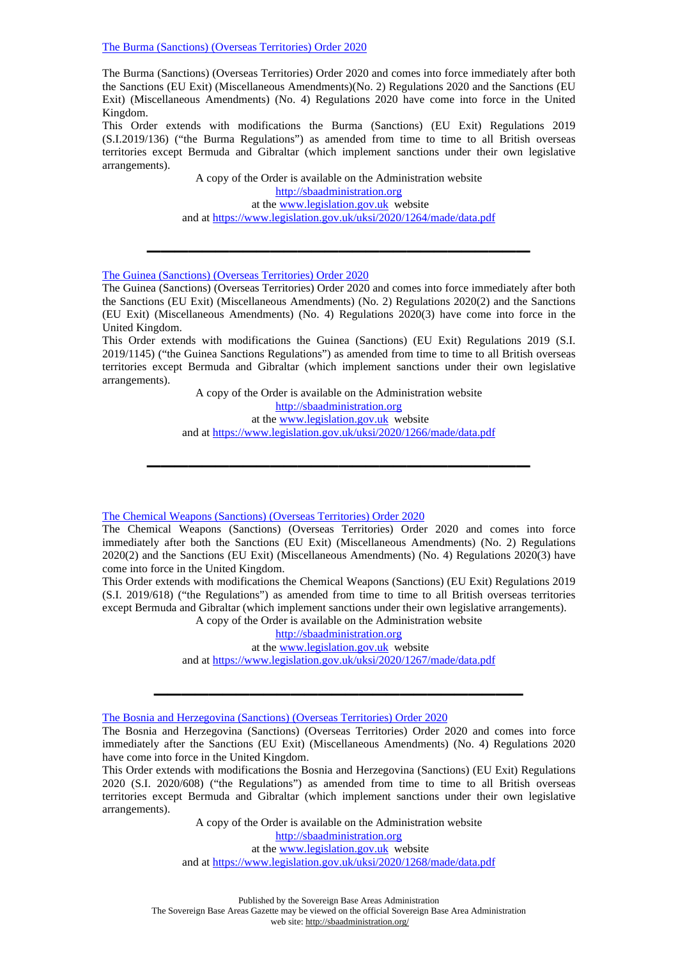[The Burma \(Sanctions\) \(Overseas Territories\) Order 2020](https://www.legislation.gov.uk/uksi/2020/1264/made/data.pdf)

The Burma (Sanctions) (Overseas Territories) Order 2020 and comes into force immediately after both the Sanctions (EU Exit) (Miscellaneous Amendments)(No. 2) Regulations 2020 and the Sanctions (EU Exit) (Miscellaneous Amendments) (No. 4) Regulations 2020 have come into force in the United Kingdom.

This Order extends with modifications the Burma (Sanctions) (EU Exit) Regulations 2019 (S.I.2019/136) ("the Burma Regulations") as amended from time to time to all British overseas territories except Bermuda and Gibraltar (which implement sanctions under their own legislative arrangements).

> A copy of the Order is available on the Administration website [http://sbaadministration.org](http://sbaadministration.org/) at the [www.legislation.gov.uk](http://www.legislation.gov.uk/) website and at<https://www.legislation.gov.uk/uksi/2020/1264/made/data.pdf>

**\_\_\_\_\_\_\_\_\_\_\_\_\_\_\_\_\_\_\_\_\_\_\_\_\_\_\_\_** 

## [The Guinea \(Sanctions\) \(Overseas Territories\) Order 2020](https://www.legislation.gov.uk/uksi/2020/1266/made/data.pdf)

The Guinea (Sanctions) (Overseas Territories) Order 2020 and comes into force immediately after both the Sanctions (EU Exit) (Miscellaneous Amendments) (No. 2) Regulations 2020(2) and the Sanctions (EU Exit) (Miscellaneous Amendments) (No. 4) Regulations 2020(3) have come into force in the United Kingdom.

This Order extends with modifications the Guinea (Sanctions) (EU Exit) Regulations 2019 (S.I. 2019/1145) ("the Guinea Sanctions Regulations") as amended from time to time to all British overseas territories except Bermuda and Gibraltar (which implement sanctions under their own legislative arrangements).

> A copy of the Order is available on the Administration website [http://sbaadministration.org](http://sbaadministration.org/) at the [www.legislation.gov.uk](http://www.legislation.gov.uk/) website and at<https://www.legislation.gov.uk/uksi/2020/1266/made/data.pdf>

**\_\_\_\_\_\_\_\_\_\_\_\_\_\_\_\_\_\_\_\_\_\_\_\_\_\_\_\_** 

[The Chemical Weapons \(Sanctions\) \(Overseas Territories\) Order 2020](https://www.legislation.gov.uk/uksi/2020/1267/made/data.pdf)

The Chemical Weapons (Sanctions) (Overseas Territories) Order 2020 and comes into force immediately after both the Sanctions (EU Exit) (Miscellaneous Amendments) (No. 2) Regulations 2020(2) and the Sanctions (EU Exit) (Miscellaneous Amendments) (No. 4) Regulations 2020(3) have come into force in the United Kingdom.

This Order extends with modifications the Chemical Weapons (Sanctions) (EU Exit) Regulations 2019 (S.I. 2019/618) ("the Regulations") as amended from time to time to all British overseas territories except Bermuda and Gibraltar (which implement sanctions under their own legislative arrangements). A copy of the Order is available on the Administration website

[http://sbaadministration.org](http://sbaadministration.org/) at the [www.legislation.gov.uk](http://www.legislation.gov.uk/) website and at<https://www.legislation.gov.uk/uksi/2020/1267/made/data.pdf>

**\_\_\_\_\_\_\_\_\_\_\_\_\_\_\_\_\_\_\_\_\_\_\_\_\_\_\_** 

[The Bosnia and Herzegovina \(Sanctions\) \(Overseas Territories\) Order 2020](https://www.legislation.gov.uk/uksi/2020/1268/made/data.pdf)

The Bosnia and Herzegovina (Sanctions) (Overseas Territories) Order 2020 and comes into force immediately after the Sanctions (EU Exit) (Miscellaneous Amendments) (No. 4) Regulations 2020 have come into force in the United Kingdom.

This Order extends with modifications the Bosnia and Herzegovina (Sanctions) (EU Exit) Regulations 2020 (S.I. 2020/608) ("the Regulations") as amended from time to time to all British overseas territories except Bermuda and Gibraltar (which implement sanctions under their own legislative arrangements).

> A copy of the Order is available on the Administration website [http://sbaadministration.org](http://sbaadministration.org/) at the [www.legislation.gov.uk](http://www.legislation.gov.uk/) website and at<https://www.legislation.gov.uk/uksi/2020/1268/made/data.pdf>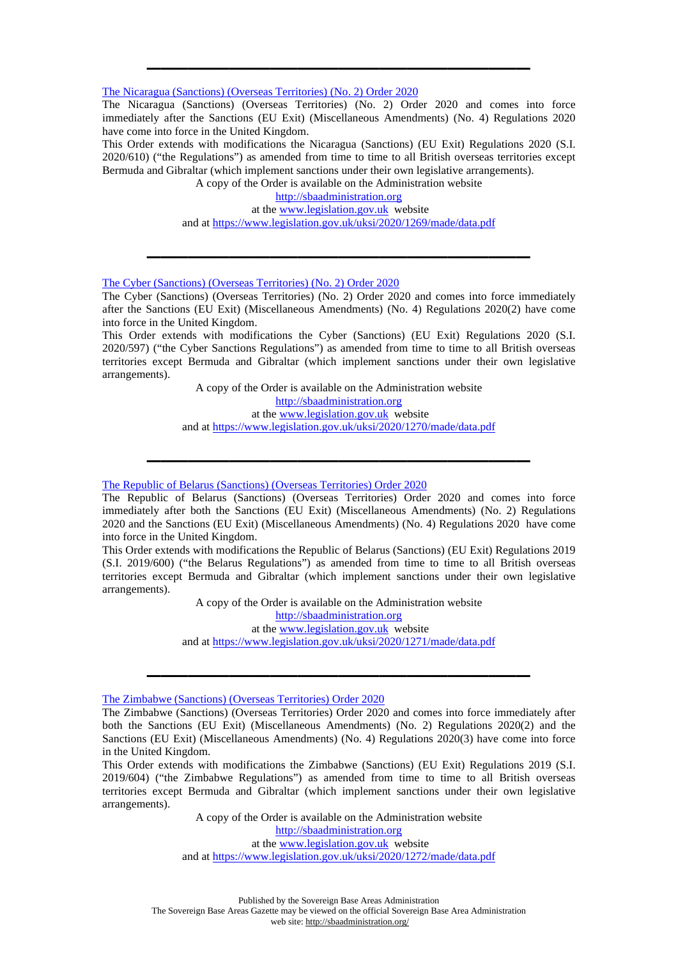[The Nicaragua \(Sanctions\) \(Overseas Territories\) \(No. 2\) Order 2020](https://www.legislation.gov.uk/uksi/2020/1269/made/data.pdf)

The Nicaragua (Sanctions) (Overseas Territories) (No. 2) Order 2020 and comes into force immediately after the Sanctions (EU Exit) (Miscellaneous Amendments) (No. 4) Regulations 2020 have come into force in the United Kingdom.

**\_\_\_\_\_\_\_\_\_\_\_\_\_\_\_\_\_\_\_\_\_\_\_\_\_\_\_\_** 

This Order extends with modifications the Nicaragua (Sanctions) (EU Exit) Regulations 2020 (S.I. 2020/610) ("the Regulations") as amended from time to time to all British overseas territories except Bermuda and Gibraltar (which implement sanctions under their own legislative arrangements).

A copy of the Order is available on the Administration website

[http://sbaadministration.org](http://sbaadministration.org/)

 at the [www.legislation.gov.uk](http://www.legislation.gov.uk/) website and at<https://www.legislation.gov.uk/uksi/2020/1269/made/data.pdf>

**\_\_\_\_\_\_\_\_\_\_\_\_\_\_\_\_\_\_\_\_\_\_\_\_\_\_\_\_** 

[The Cyber \(Sanctions\) \(Overseas Territories\) \(No. 2\) Order 2020](https://www.legislation.gov.uk/uksi/2020/1270/made/data.pdf)

The Cyber (Sanctions) (Overseas Territories) (No. 2) Order 2020 and comes into force immediately after the Sanctions (EU Exit) (Miscellaneous Amendments) (No. 4) Regulations 2020(2) have come into force in the United Kingdom.

This Order extends with modifications the Cyber (Sanctions) (EU Exit) Regulations 2020 (S.I. 2020/597) ("the Cyber Sanctions Regulations") as amended from time to time to all British overseas territories except Bermuda and Gibraltar (which implement sanctions under their own legislative arrangements).

> A copy of the Order is available on the Administration website [http://sbaadministration.org](http://sbaadministration.org/) at the [www.legislation.gov.uk](http://www.legislation.gov.uk/) website and at<https://www.legislation.gov.uk/uksi/2020/1270/made/data.pdf>

**\_\_\_\_\_\_\_\_\_\_\_\_\_\_\_\_\_\_\_\_\_\_\_\_\_\_\_\_** 

[The Republic of Belarus \(Sanctions\) \(Overseas Territories\) Order 2020](https://www.legislation.gov.uk/uksi/2020/1271/made/data.pdf)

The Republic of Belarus (Sanctions) (Overseas Territories) Order 2020 and comes into force immediately after both the Sanctions (EU Exit) (Miscellaneous Amendments) (No. 2) Regulations 2020 and the Sanctions (EU Exit) (Miscellaneous Amendments) (No. 4) Regulations 2020 have come into force in the United Kingdom.

This Order extends with modifications the Republic of Belarus (Sanctions) (EU Exit) Regulations 2019 (S.I. 2019/600) ("the Belarus Regulations") as amended from time to time to all British overseas territories except Bermuda and Gibraltar (which implement sanctions under their own legislative arrangements).

> A copy of the Order is available on the Administration website [http://sbaadministration.org](http://sbaadministration.org/) at the [www.legislation.gov.uk](http://www.legislation.gov.uk/) website

and at<https://www.legislation.gov.uk/uksi/2020/1271/made/data.pdf>

**\_\_\_\_\_\_\_\_\_\_\_\_\_\_\_\_\_\_\_\_\_\_\_\_\_\_\_\_** 

[The Zimbabwe \(Sanctions\) \(Overseas Territories\) Order 2020](https://www.legislation.gov.uk/uksi/2020/1272/made/data.pdf)

A copy of the Order is available on the Administration website [http://sbaadministration.org](http://sbaadministration.org/) at the [www.legislation.gov.uk](http://www.legislation.gov.uk/) website and at<https://www.legislation.gov.uk/uksi/2020/1272/made/data.pdf>

The Zimbabwe (Sanctions) (Overseas Territories) Order 2020 and comes into force immediately after both the Sanctions (EU Exit) (Miscellaneous Amendments) (No. 2) Regulations 2020(2) and the Sanctions (EU Exit) (Miscellaneous Amendments) (No. 4) Regulations 2020(3) have come into force in the United Kingdom.

This Order extends with modifications the Zimbabwe (Sanctions) (EU Exit) Regulations 2019 (S.I. 2019/604) ("the Zimbabwe Regulations") as amended from time to time to all British overseas territories except Bermuda and Gibraltar (which implement sanctions under their own legislative arrangements).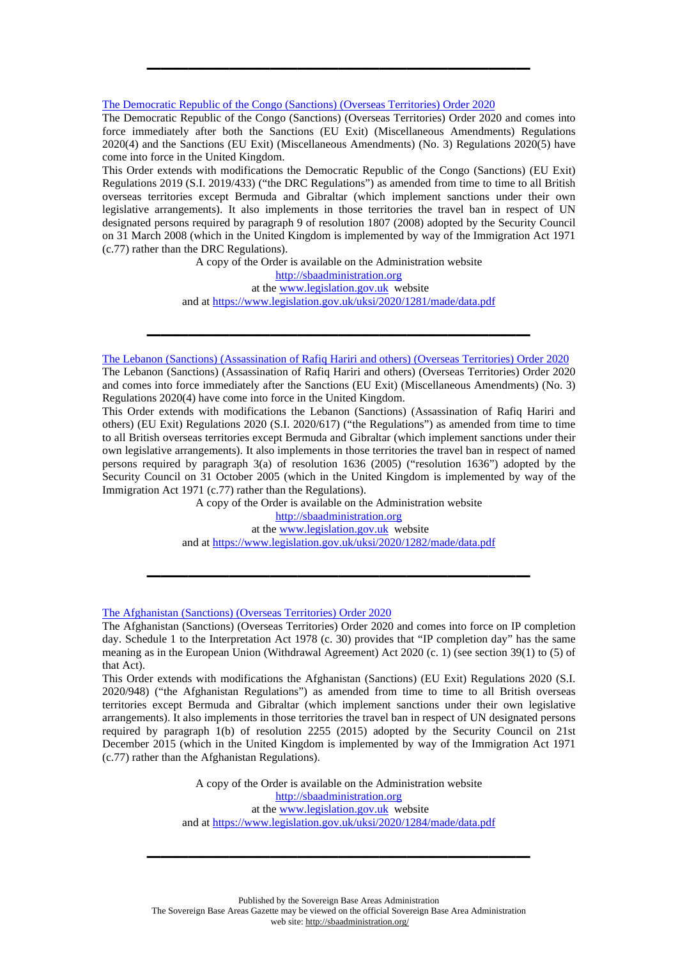## [The Democratic Republic of the Congo \(Sanctions\) \(Overseas Territories\) Order 2020](https://www.legislation.gov.uk/uksi/2020/1281/made/data.pdf)

The Democratic Republic of the Congo (Sanctions) (Overseas Territories) Order 2020 and comes into force immediately after both the Sanctions (EU Exit) (Miscellaneous Amendments) Regulations 2020(4) and the Sanctions (EU Exit) (Miscellaneous Amendments) (No. 3) Regulations 2020(5) have come into force in the United Kingdom.

**\_\_\_\_\_\_\_\_\_\_\_\_\_\_\_\_\_\_\_\_\_\_\_\_\_\_\_\_** 

This Order extends with modifications the Democratic Republic of the Congo (Sanctions) (EU Exit) Regulations 2019 (S.I. 2019/433) ("the DRC Regulations") as amended from time to time to all British overseas territories except Bermuda and Gibraltar (which implement sanctions under their own legislative arrangements). It also implements in those territories the travel ban in respect of UN designated persons required by paragraph 9 of resolution 1807 (2008) adopted by the Security Council on 31 March 2008 (which in the United Kingdom is implemented by way of the Immigration Act 1971 (c.77) rather than the DRC Regulations).

> A copy of the Order is available on the Administration website [http://sbaadministration.org](http://sbaadministration.org/) at the [www.legislation.gov.uk](http://www.legislation.gov.uk/) website and at<https://www.legislation.gov.uk/uksi/2020/1281/made/data.pdf>

**\_\_\_\_\_\_\_\_\_\_\_\_\_\_\_\_\_\_\_\_\_\_\_\_\_\_\_\_** 

[The Lebanon \(Sanctions\) \(Assassination of Rafiq Hariri and others\) \(Overseas Territories\) Order 2020](https://www.legislation.gov.uk/uksi/2020/1282/made/data.pdf)

The Lebanon (Sanctions) (Assassination of Rafiq Hariri and others) (Overseas Territories) Order 2020 and comes into force immediately after the Sanctions (EU Exit) (Miscellaneous Amendments) (No. 3) Regulations 2020(4) have come into force in the United Kingdom.

This Order extends with modifications the Lebanon (Sanctions) (Assassination of Rafiq Hariri and others) (EU Exit) Regulations 2020 (S.I. 2020/617) ("the Regulations") as amended from time to time to all British overseas territories except Bermuda and Gibraltar (which implement sanctions under their own legislative arrangements). It also implements in those territories the travel ban in respect of named persons required by paragraph 3(a) of resolution 1636 (2005) ("resolution 1636") adopted by the Security Council on 31 October 2005 (which in the United Kingdom is implemented by way of the Immigration Act 1971 (c.77) rather than the Regulations).

A copy of the Order is available on the Administration website

[http://sbaadministration.org](http://sbaadministration.org/) at the [www.legislation.gov.uk](http://www.legislation.gov.uk/) website

and at<https://www.legislation.gov.uk/uksi/2020/1282/made/data.pdf>

**\_\_\_\_\_\_\_\_\_\_\_\_\_\_\_\_\_\_\_\_\_\_\_\_\_\_\_\_** 

[The Afghanistan \(Sanctions\) \(Overseas Territories\) Order 2020](https://www.legislation.gov.uk/uksi/2020/1284/made/data.pdf)

The Afghanistan (Sanctions) (Overseas Territories) Order 2020 and comes into force on IP completion day. Schedule 1 to the Interpretation Act 1978 (c. 30) provides that "IP completion day" has the same meaning as in the European Union (Withdrawal Agreement) Act 2020 (c. 1) (see section 39(1) to (5) of that Act).

This Order extends with modifications the Afghanistan (Sanctions) (EU Exit) Regulations 2020 (S.I. 2020/948) ("the Afghanistan Regulations") as amended from time to time to all British overseas territories except Bermuda and Gibraltar (which implement sanctions under their own legislative arrangements). It also implements in those territories the travel ban in respect of UN designated persons required by paragraph 1(b) of resolution 2255 (2015) adopted by the Security Council on 21st December 2015 (which in the United Kingdom is implemented by way of the Immigration Act 1971 (c.77) rather than the Afghanistan Regulations).

> A copy of the Order is available on the Administration website [http://sbaadministration.org](http://sbaadministration.org/) at the [www.legislation.gov.uk](http://www.legislation.gov.uk/) website and at<https://www.legislation.gov.uk/uksi/2020/1284/made/data.pdf>

**\_\_\_\_\_\_\_\_\_\_\_\_\_\_\_\_\_\_\_\_\_\_\_\_\_\_\_\_**